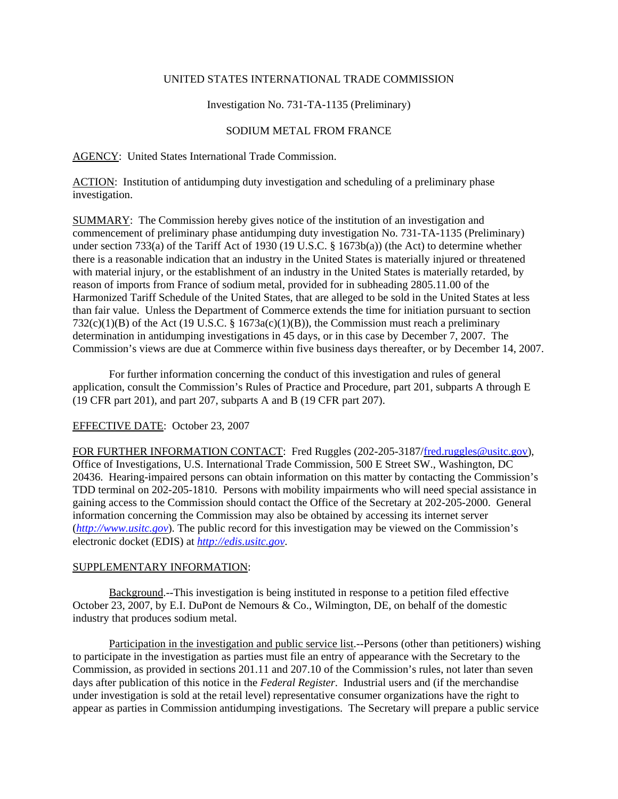# UNITED STATES INTERNATIONAL TRADE COMMISSION

## Investigation No. 731-TA-1135 (Preliminary)

### SODIUM METAL FROM FRANCE

### AGENCY: United States International Trade Commission.

ACTION: Institution of antidumping duty investigation and scheduling of a preliminary phase investigation.

SUMMARY: The Commission hereby gives notice of the institution of an investigation and commencement of preliminary phase antidumping duty investigation No. 731-TA-1135 (Preliminary) under section 733(a) of the Tariff Act of 1930 (19 U.S.C. § 1673b(a)) (the Act) to determine whether there is a reasonable indication that an industry in the United States is materially injured or threatened with material injury, or the establishment of an industry in the United States is materially retarded, by reason of imports from France of sodium metal, provided for in subheading 2805.11.00 of the Harmonized Tariff Schedule of the United States, that are alleged to be sold in the United States at less than fair value. Unless the Department of Commerce extends the time for initiation pursuant to section  $732(c)(1)(B)$  of the Act (19 U.S.C. § 1673a(c)(1)(B)), the Commission must reach a preliminary determination in antidumping investigations in 45 days, or in this case by December 7, 2007. The Commission's views are due at Commerce within five business days thereafter, or by December 14, 2007.

For further information concerning the conduct of this investigation and rules of general application, consult the Commission's Rules of Practice and Procedure, part 201, subparts A through E (19 CFR part 201), and part 207, subparts A and B (19 CFR part 207).

#### EFFECTIVE DATE: October 23, 2007

FOR FURTHER INFORMATION CONTACT: Fred Ruggles (202-205-3187/fred.ruggles@usitc.gov), Office of Investigations, U.S. International Trade Commission, 500 E Street SW., Washington, DC 20436. Hearing-impaired persons can obtain information on this matter by contacting the Commission's TDD terminal on 202-205-1810. Persons with mobility impairments who will need special assistance in gaining access to the Commission should contact the Office of the Secretary at 202-205-2000. General information concerning the Commission may also be obtained by accessing its internet server (*http://www.usitc.gov*). The public record for this investigation may be viewed on the Commission's electronic docket (EDIS) at *http://edis.usitc.gov*.

#### SUPPLEMENTARY INFORMATION:

Background.--This investigation is being instituted in response to a petition filed effective October 23, 2007, by E.I. DuPont de Nemours & Co., Wilmington, DE, on behalf of the domestic industry that produces sodium metal.

Participation in the investigation and public service list.--Persons (other than petitioners) wishing to participate in the investigation as parties must file an entry of appearance with the Secretary to the Commission, as provided in sections 201.11 and 207.10 of the Commission's rules, not later than seven days after publication of this notice in the *Federal Register*. Industrial users and (if the merchandise under investigation is sold at the retail level) representative consumer organizations have the right to appear as parties in Commission antidumping investigations. The Secretary will prepare a public service